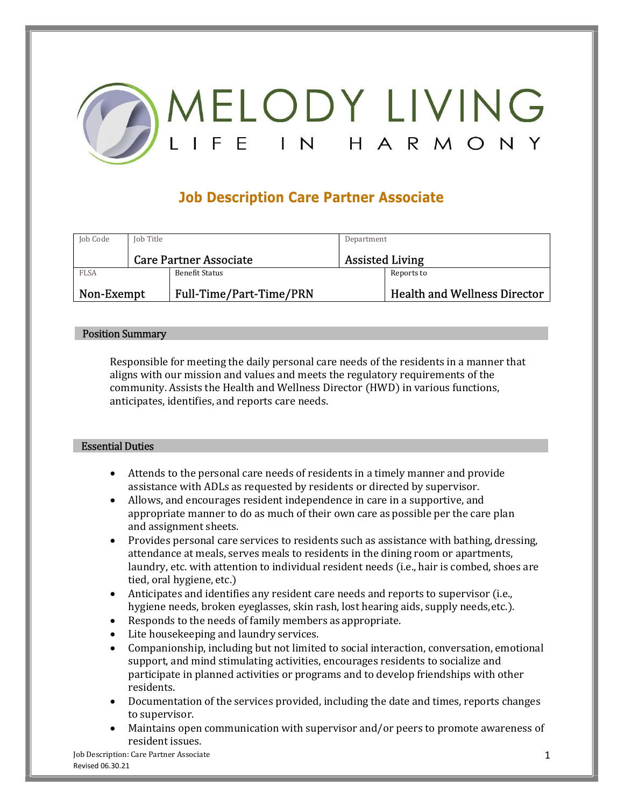

# Job Description Care Partner Associate

| Job Code    | Job Title |                               | Department             |                                     |
|-------------|-----------|-------------------------------|------------------------|-------------------------------------|
|             |           | <b>Care Partner Associate</b> | <b>Assisted Living</b> |                                     |
| <b>FLSA</b> |           | Benefit Status                |                        | Reports to                          |
| Non-Exempt  |           | Full-Time/Part-Time/PRN       |                        | <b>Health and Wellness Director</b> |

### Position Summary

Responsible for meeting the daily personal care needs of the residents in a manner that aligns with our mission and values and meets the regulatory requirements of the community. Assists the Health and Wellness Director (HWD) in various functions, anticipates, identifies, and reports care needs. Essential Duties

- Attends to the personal care needs of residents in a timely manner and provide assistance with ADLs as requested by residents or directed by supervisor.
- Allows, and encourages resident independence in care in a supportive, and appropriate manner to do as much of their own care as possible per the care plan and assignment sheets.
- Provides personal care services to residents such as assistance with bathing, dressing, attendance at meals, serves meals to residents in the dining room or apartments, laundry, etc. with attention to individual resident needs (i.e., hair is combed, shoes are tied, oral hygiene, etc.)
- Anticipates and identifies any resident care needs and reports to supervisor (i.e., hygiene needs, broken eyeglasses, skin rash, lost hearing aids, supply needs, etc.).
- Responds to the needs of family members as appropriate.
- Lite housekeeping and laundry services.
- Companionship, including but not limited to social interaction, conversation, emotional support, and mind stimulating activities, encourages residents to socialize and participate in planned activities or programs and to develop friendships with other residents.
- Documentation of the services provided, including the date and times, reports changes to supervisor.
- Maintains open communication with supervisor and/or peers to promote awareness of resident issues.

Job Description: Care Partner Associate 1 and 2008 1 and 2008 1 and 2008 1 and 2008 1 and 2008 1 and 2008 1 and 2008 1 and 2008 1 and 2008 1 and 2008 1 and 2008 1 and 2008 1 and 2008 1 and 2008 1 and 2008 1 and 2008 1 and Revised 06.30.21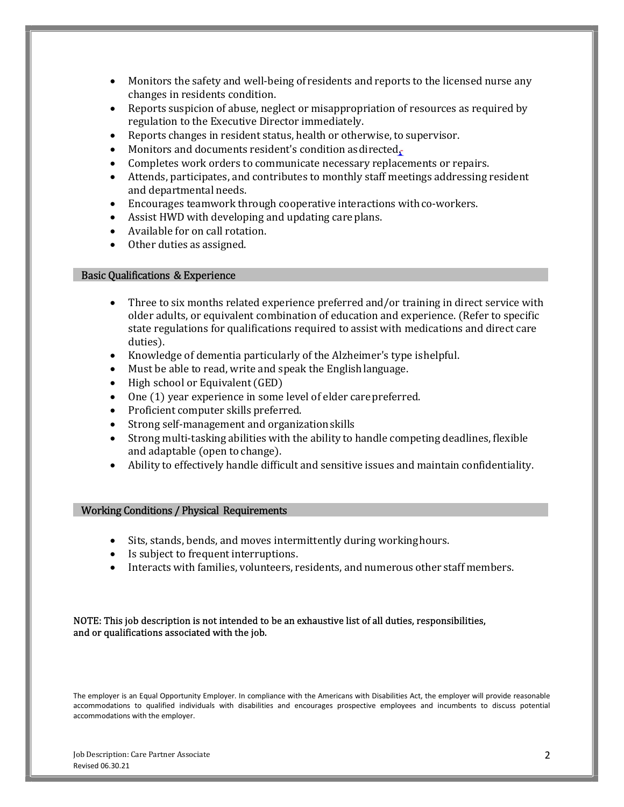- Monitors the safety and well-being of residents and reports to the licensed nurse any changes in residents condition.
- Reports suspicion of abuse, neglect or misappropriation of resources as required by regulation to the Executive Director immediately.
- Reports changes in resident status, health or otherwise, to supervisor.
- Monitors and documents resident's condition as directed.
- Completes work orders to communicate necessary replacements or repairs.
- Attends, participates, and contributes to monthly staff meetings addressing resident and departmental needs.
- Encourages teamwork through cooperative interactions with co-workers.
- Assist HWD with developing and updating care plans.
- Available for on call rotation.
- Other duties as assigned. Basic Qualifications & Experience

- Three to six months related experience preferred and/or training in direct service with older adults, or equivalent combination of education and experience. (Refer to specific state regulations for qualifications required to assist with medications and direct care duties).
- Knowledge of dementia particularly of the Alzheimer's type is helpful.
- Must be able to read, write and speak the English language.
- High school or Equivalent (GED)
- One (1) year experience in some level of elder care preferred.
- Proficient computer skills preferred.
- Strong self-management and organization skills
- Strong multi-tasking abilities with the ability to handle competing deadlines, flexible and adaptable (open to change).
- Ability to effectively handle difficult and sensitive issues and maintain confidentiality. Working Conditions / Physical Requirements

- Sits, stands, bends, and moves intermittently during working hours.
- Is subject to frequent interruptions.
- Interacts with families, volunteers, residents, and numerous other staff members.

### NOTE: This job description is not intended to be an exhaustive list of all duties, responsibilities, and or qualifications associated with the job.

The employer is an Equal Opportunity Employer. In compliance with the Americans with Disabilities Act, the employer will provide reasonable accommodations to qualified individuals with disabilities and encourages prospective employees and incumbents to discuss potential accommodations with the employer.